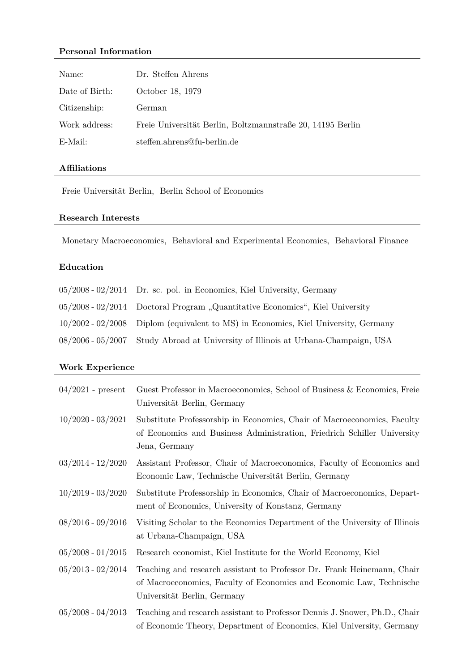# **Personal Information**

| Name:          | Dr. Steffen Ahrens                                         |
|----------------|------------------------------------------------------------|
| Date of Birth: | October 18, 1979                                           |
| Citizenship:   | German                                                     |
| Work address:  | Freie Universität Berlin, Boltzmannstraße 20, 14195 Berlin |
| E-Mail:        | steffen.ahrens@fu-berlin.de                                |

## **Affiliations**

Freie Universität Berlin, Berlin School of Economics

## **Research Interests**

Monetary Macroeconomics, Behavioral and Experimental Economics, Behavioral Finance

# **Education**

| $05/2008 - 02/2014$ Dr. sc. pol. in Economics, Kiel University, Germany              |
|--------------------------------------------------------------------------------------|
| 05/2008 - 02/2014 Doctoral Program "Quantitative Economics", Kiel University         |
| $10/2002 - 02/2008$ Diplom (equivalent to MS) in Economics, Kiel University, Germany |
| 08/2006 - 05/2007 Study Abroad at University of Illinois at Urbana-Champaign, USA    |

# **Work Experience**

| $04/2021$ - present | Guest Professor in Macroeconomics, School of Business & Economics, Freie<br>Universität Berlin, Germany                                                                        |
|---------------------|--------------------------------------------------------------------------------------------------------------------------------------------------------------------------------|
| $10/2020 - 03/2021$ | Substitute Professorship in Economics, Chair of Macroeconomics, Faculty<br>of Economics and Business Administration, Friedrich Schiller University<br>Jena, Germany            |
| $03/2014 - 12/2020$ | Assistant Professor, Chair of Macroeconomics, Faculty of Economics and<br>Economic Law, Technische Universität Berlin, Germany                                                 |
| $10/2019 - 03/2020$ | Substitute Professorship in Economics, Chair of Macroeconomics, Depart-<br>ment of Economics, University of Konstanz, Germany                                                  |
| $08/2016 - 09/2016$ | Visiting Scholar to the Economics Department of the University of Illinois<br>at Urbana-Champaign, USA                                                                         |
| $05/2008 - 01/2015$ | Research economist, Kiel Institute for the World Economy, Kiel                                                                                                                 |
| $05/2013 - 02/2014$ | Teaching and research assistant to Professor Dr. Frank Heinemann, Chair<br>of Macroeconomics, Faculty of Economics and Economic Law, Technische<br>Universität Berlin, Germany |
| $05/2008 - 04/2013$ | Teaching and research assistant to Professor Dennis J. Snower, Ph.D., Chair<br>of Economic Theory, Department of Economics, Kiel University, Germany                           |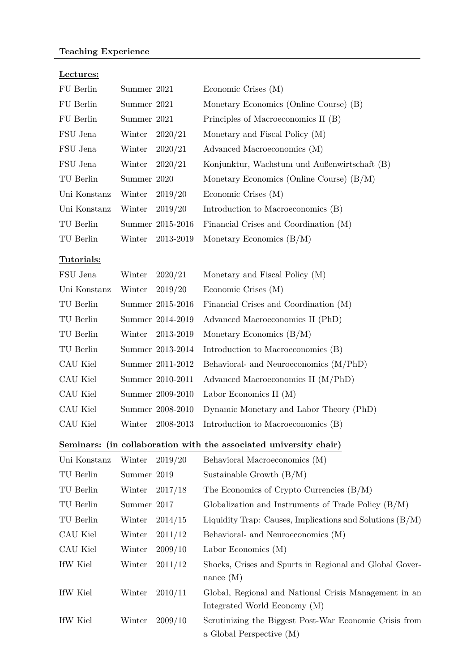# **Teaching Experience**

| FU Berlin    | Summer 2021 |                  | Economic Crises (M)                                                    |
|--------------|-------------|------------------|------------------------------------------------------------------------|
| FU Berlin    | Summer 2021 |                  | Monetary Economics (Online Course) (B)                                 |
| FU Berlin    | Summer 2021 |                  | Principles of Macroeconomics II (B)                                    |
| FSU Jena     | Winter      | 2020/21          | Monetary and Fiscal Policy (M)                                         |
| FSU Jena     | Winter      | 2020/21          | Advanced Macroeconomics (M)                                            |
| FSU Jena     | Winter      | 2020/21          | Konjunktur, Wachstum und Außenwirtschaft (B)                           |
| TU Berlin    | Summer 2020 |                  | Monetary Economics (Online Course) $(B/M)$                             |
| Uni Konstanz | Winter      | 2019/20          | Economic Crises (M)                                                    |
| Uni Konstanz | Winter      | 2019/20          | Introduction to Macroeconomics (B)                                     |
| TU Berlin    |             | Summer 2015-2016 | Financial Crises and Coordination (M)                                  |
| TU Berlin    | Winter      | 2013-2019        | Monetary Economics $(B/M)$                                             |
| Tutorials:   |             |                  |                                                                        |
| FSU Jena     | Winter      | 2020/21          | Monetary and Fiscal Policy (M)                                         |
| Uni Konstanz | Winter      | 2019/20          | Economic Crises (M)                                                    |
| TU Berlin    |             | Summer 2015-2016 | Financial Crises and Coordination (M)                                  |
| TU Berlin    |             | Summer 2014-2019 | Advanced Macroeconomics II (PhD)                                       |
| TU Berlin    | Winter      | 2013-2019        | Monetary Economics $(B/M)$                                             |
| TU Berlin    |             | Summer 2013-2014 | Introduction to Macroeconomics (B)                                     |
| CAU Kiel     |             | Summer 2011-2012 | Behavioral- and Neuroeconomics (M/PhD)                                 |
| CAU Kiel     |             | Summer 2010-2011 | Advanced Macroeconomics II (M/PhD)                                     |
| CAU Kiel     |             | Summer 2009-2010 | Labor Economics II $(M)$                                               |
| CAU Kiel     |             | Summer 2008-2010 | Dynamic Monetary and Labor Theory (PhD)                                |
| CAU Kiel     | Winter      | 2008-2013        | Introduction to Macroeconomics (B)                                     |
|              |             |                  | Seminars: (in collaboration with the associated university chair)      |
| Uni Konstanz | Winter      | 2019/20          | Behavioral Macroeconomics (M)                                          |
| TU Berlin    | Summer 2019 |                  | Sustainable Growth $(B/M)$                                             |
| TU Berlin    | Winter      | 2017/18          | The Economics of Crypto Currencies $(B/M)$                             |
| TU Berlin    | Summer 2017 |                  | Globalization and Instruments of Trade Policy $(B/M)$                  |
| TU Berlin    | Winter      | 2014/15          | Liquidity Trap: Causes, Implications and Solutions $(B/M)$             |
| CAU Kiel     | Winter      | 2011/12          | Behavioral- and Neuroeconomics (M)                                     |
| CAU Kiel     | Winter      | 2009/10          | Labor Economics $(M)$                                                  |
| IfW Kiel     | Winter      | 2011/12          | Shocks, Crises and Spurts in Regional and Global Gover-<br>nance $(M)$ |
| IfW Kiel     | Winter      | 2010/11          | Global, Regional and National Crisis Management in an                  |

Integrated World Economy (M) IfW Kiel Winter 2009/10 Scrutinizing the Biggest Post-War Economic Crisis from a Global Perspective (M)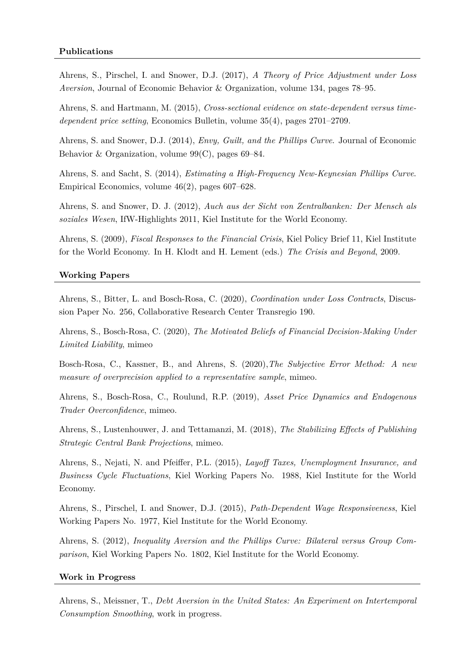Ahrens, S., Pirschel, I. and Snower, D.J. (2017), *A Theory of Price Adjustment under Loss Aversion*, Journal of Economic Behavior & Organization, volume 134, pages 78–95.

Ahrens, S. and Hartmann, M. (2015), *Cross-sectional evidence on state-dependent versus timedependent price setting*, Economics Bulletin, volume 35(4), pages 2701–2709.

Ahrens, S. and Snower, D.J. (2014), *Envy, Guilt, and the Phillips Curve*. Journal of Economic Behavior & Organization, volume 99(C), pages 69–84.

Ahrens, S. and Sacht, S. (2014), *Estimating a High-Frequency New-Keynesian Phillips Curve*. Empirical Economics, volume 46(2), pages 607–628.

Ahrens, S. and Snower, D. J. (2012), *Auch aus der Sicht von Zentralbanken: Der Mensch als soziales Wesen*, IfW-Highlights 2011, Kiel Institute for the World Economy.

Ahrens, S. (2009), *Fiscal Responses to the Financial Crisis*, Kiel Policy Brief 11, Kiel Institute for the World Economy. In H. Klodt and H. Lement (eds.) *The Crisis and Beyond*, 2009.

## **Working Papers**

Ahrens, S., Bitter, L. and Bosch-Rosa, C. (2020), *Coordination under Loss Contracts*, Discussion Paper No. 256, Collaborative Research Center Transregio 190.

Ahrens, S., Bosch-Rosa, C. (2020), *The Motivated Beliefs of Financial Decision-Making Under Limited Liability*, mimeo

Bosch-Rosa, C., Kassner, B., and Ahrens, S. (2020),*The Subjective Error Method: A new measure of overprecision applied to a representative sample*, mimeo.

Ahrens, S., Bosch-Rosa, C., Roulund, R.P. (2019), *Asset Price Dynamics and Endogenous Trader Overconfidence*, mimeo.

Ahrens, S., Lustenhouwer, J. and Tettamanzi, M. (2018), *The Stabilizing Effects of Publishing Strategic Central Bank Projections*, mimeo.

Ahrens, S., Nejati, N. and Pfeiffer, P.L. (2015), *Layoff Taxes, Unemployment Insurance, and Business Cycle Fluctuations*, Kiel Working Papers No. 1988, Kiel Institute for the World Economy.

Ahrens, S., Pirschel, I. and Snower, D.J. (2015), *Path-Dependent Wage Responsiveness*, Kiel Working Papers No. 1977, Kiel Institute for the World Economy.

Ahrens, S. (2012), *Inequality Aversion and the Phillips Curve: Bilateral versus Group Comparison*, Kiel Working Papers No. 1802, Kiel Institute for the World Economy.

#### **Work in Progress**

Ahrens, S., Meissner, T., *Debt Aversion in the United States: An Experiment on Intertemporal Consumption Smoothing*, work in progress.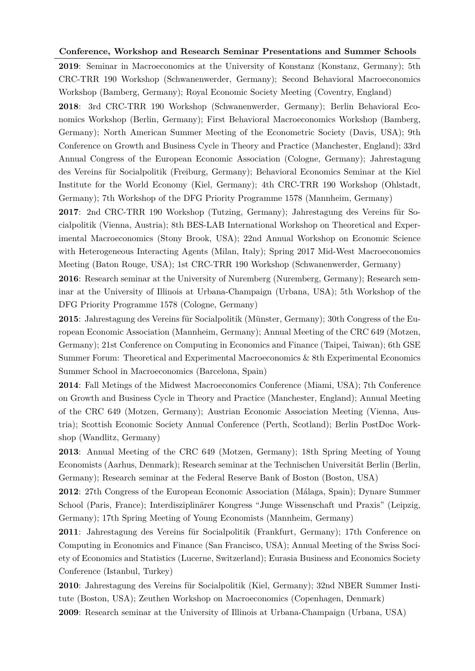### **Conference, Workshop and Research Seminar Presentations and Summer Schools**

**2019**: Seminar in Macroeconomics at the University of Konstanz (Konstanz, Germany); 5th CRC-TRR 190 Workshop (Schwanenwerder, Germany); Second Behavioral Macroeconomics Workshop (Bamberg, Germany); Royal Economic Society Meeting (Coventry, England)

**2018**: 3rd CRC-TRR 190 Workshop (Schwanenwerder, Germany); Berlin Behavioral Economics Workshop (Berlin, Germany); First Behavioral Macroeconomics Workshop (Bamberg, Germany); North American Summer Meeting of the Econometric Society (Davis, USA); 9th Conference on Growth and Business Cycle in Theory and Practice (Manchester, England); 33rd Annual Congress of the European Economic Association (Cologne, Germany); Jahrestagung des Vereins für Socialpolitik (Freiburg, Germany); Behavioral Economics Seminar at the Kiel Institute for the World Economy (Kiel, Germany); 4th CRC-TRR 190 Workshop (Ohlstadt, Germany); 7th Workshop of the DFG Priority Programme 1578 (Mannheim, Germany)

**2017**: 2nd CRC-TRR 190 Workshop (Tutzing, Germany); Jahrestagung des Vereins für Socialpolitik (Vienna, Austria); 8th BES-LAB International Workshop on Theoretical and Experimental Macroeconomics (Stony Brook, USA); 22nd Annual Workshop on Economic Science with Heterogeneous Interacting Agents (Milan, Italy); Spring 2017 Mid-West Macroeconomics Meeting (Baton Rouge, USA); 1st CRC-TRR 190 Workshop (Schwanenwerder, Germany)

**2016**: Research seminar at the University of Nuremberg (Nuremberg, Germany); Research seminar at the University of Illinois at Urbana-Champaign (Urbana, USA); 5th Workshop of the DFG Priority Programme 1578 (Cologne, Germany)

**2015**: Jahrestagung des Vereins für Socialpolitik (Münster, Germany); 30th Congress of the European Economic Association (Mannheim, Germany); Annual Meeting of the CRC 649 (Motzen, Germany); 21st Conference on Computing in Economics and Finance (Taipei, Taiwan); 6th GSE Summer Forum: Theoretical and Experimental Macroeconomics & 8th Experimental Economics Summer School in Macroeconomics (Barcelona, Spain)

**2014**: Fall Metings of the Midwest Macroeconomics Conference (Miami, USA); 7th Conference on Growth and Business Cycle in Theory and Practice (Manchester, England); Annual Meeting of the CRC 649 (Motzen, Germany); Austrian Economic Association Meeting (Vienna, Austria); Scottish Economic Society Annual Conference (Perth, Scotland); Berlin PostDoc Workshop (Wandlitz, Germany)

**2013**: Annual Meeting of the CRC 649 (Motzen, Germany); 18th Spring Meeting of Young Economists (Aarhus, Denmark); Research seminar at the Technischen Universität Berlin (Berlin, Germany); Research seminar at the Federal Reserve Bank of Boston (Boston, USA)

**2012**: 27th Congress of the European Economic Association (Málaga, Spain); Dynare Summer School (Paris, France); Interdisziplinärer Kongress "Junge Wissenschaft und Praxis" (Leipzig, Germany); 17th Spring Meeting of Young Economists (Mannheim, Germany)

**2011**: Jahrestagung des Vereins für Socialpolitik (Frankfurt, Germany); 17th Conference on Computing in Economics and Finance (San Francisco, USA); Annual Meeting of the Swiss Society of Economics and Statistics (Lucerne, Switzerland); Eurasia Business and Economics Society Conference (Istanbul, Turkey)

**2010**: Jahrestagung des Vereins für Socialpolitik (Kiel, Germany); 32nd NBER Summer Institute (Boston, USA); Zeuthen Workshop on Macroeconomics (Copenhagen, Denmark) **2009**: Research seminar at the University of Illinois at Urbana-Champaign (Urbana, USA)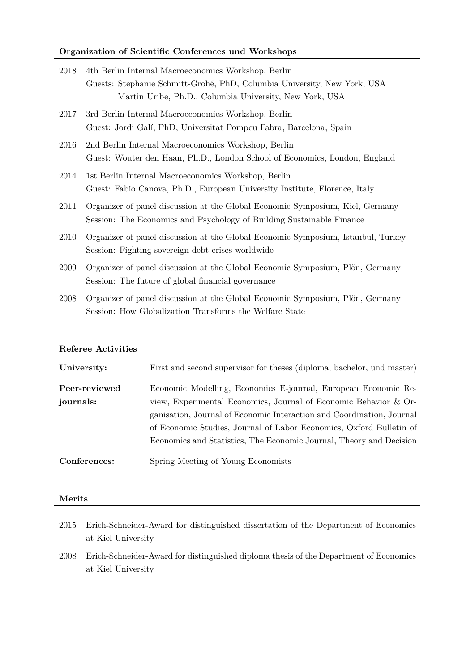## **Organization of Scientific Conferences und Workshops**

| 2018 | 4th Berlin Internal Macroeconomics Workshop, Berlin                              |
|------|----------------------------------------------------------------------------------|
|      | Guests: Stephanie Schmitt-Grohé, PhD, Columbia University, New York, USA         |
|      | Martin Uribe, Ph.D., Columbia University, New York, USA                          |
| 2017 | 3rd Berlin Internal Macroeconomics Workshop, Berlin                              |
|      | Guest: Jordi Galí, PhD, Universitat Pompeu Fabra, Barcelona, Spain               |
| 2016 | 2nd Berlin Internal Macroeconomics Workshop, Berlin                              |
|      | Guest: Wouter den Haan, Ph.D., London School of Economics, London, England       |
| 2014 | 1st Berlin Internal Macroeconomics Workshop, Berlin                              |
|      | Guest: Fabio Canova, Ph.D., European University Institute, Florence, Italy       |
| 2011 | Organizer of panel discussion at the Global Economic Symposium, Kiel, Germany    |
|      | Session: The Economics and Psychology of Building Sustainable Finance            |
| 2010 | Organizer of panel discussion at the Global Economic Symposium, Istanbul, Turkey |
|      | Session: Fighting sovereign debt crises worldwide                                |
| 2009 | Organizer of panel discussion at the Global Economic Symposium, Plön, Germany    |
|      | Session: The future of global financial governance                               |
| 2008 | Organizer of panel discussion at the Global Economic Symposium, Plön, Germany    |
|      | Session: How Globalization Transforms the Welfare State                          |

## **Referee Activities**

| University:   | First and second supervisor for theses (diploma, bachelor, und master) |
|---------------|------------------------------------------------------------------------|
| Peer-reviewed | Economic Modelling, Economics E-journal, European Economic Re-         |
| journals:     | view, Experimental Economics, Journal of Economic Behavior & Or-       |
|               | ganisation, Journal of Economic Interaction and Coordination, Journal  |
|               | of Economic Studies, Journal of Labor Economics, Oxford Bulletin of    |
|               | Economics and Statistics, The Economic Journal, Theory and Decision    |
| Conferences:  | Spring Meeting of Young Economists                                     |

### **Merits**

- 2015 Erich-Schneider-Award for distinguished dissertation of the Department of Economics at Kiel University
- 2008 Erich-Schneider-Award for distinguished diploma thesis of the Department of Economics at Kiel University